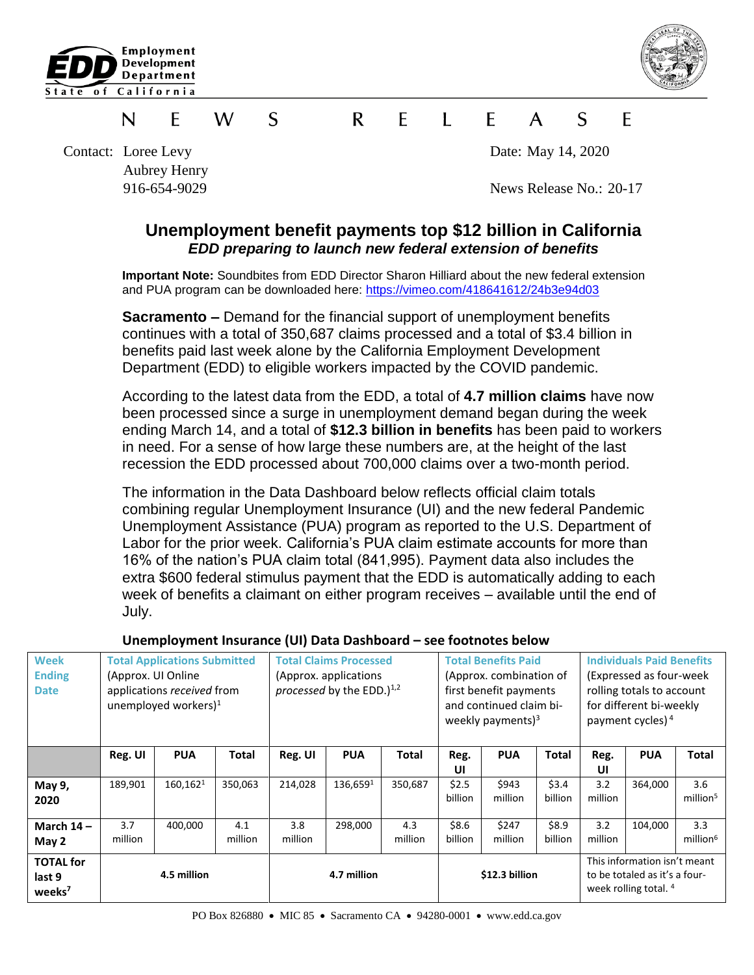



### S  $\mathsf{R}$  $\mathsf{F}$  $\mathbf{I}$  F  $\mathcal{S}$ N F W  $\mathsf{A}$ F

Contact: Loree Levy Date: May 14, 2020 Aubrey Henry

916-654-9029 News Release No.: 20-17

# **Unemployment benefit payments top \$12 billion in California** *EDD preparing to launch new federal extension of benefits*

**Important Note:** Soundbites from EDD Director Sharon Hilliard about the new federal extension and PUA program can be downloaded here:<https://vimeo.com/418641612/24b3e94d03>

**Sacramento –** Demand for the financial support of unemployment benefits continues with a total of 350,687 claims processed and a total of \$3.4 billion in benefits paid last week alone by the California Employment Development Department (EDD) to eligible workers impacted by the COVID pandemic.

According to the latest data from the EDD, a total of **4.7 million claims** have now been processed since a surge in unemployment demand began during the week ending March 14, and a total of **\$12.3 billion in benefits** has been paid to workers in need. For a sense of how large these numbers are, at the height of the last recession the EDD processed about 700,000 claims over a two-month period.

The information in the Data Dashboard below reflects official claim totals combining regular Unemployment Insurance (UI) and the new federal Pandemic Unemployment Assistance (PUA) program as reported to the U.S. Department of Labor for the prior week. California's PUA claim estimate accounts for more than 16% of the nation's PUA claim total (841,995). Payment data also includes the extra \$600 federal stimulus payment that the EDD is automatically adding to each week of benefits a claimant on either program receives – available until the end of July.

| <b>Week</b><br><b>Ending</b><br><b>Date</b>      | <b>Total Applications Submitted</b><br>(Approx. UI Online)<br>applications received from<br>unemployed workers) $1$ |            |                | <b>Total Claims Processed</b><br>(Approx. applications)<br>processed by the EDD. $)^{1,2}$ |            |                | <b>Total Benefits Paid</b><br>(Approx. combination of<br>first benefit payments<br>and continued claim bi-<br>weekly payments) $3$ |                  |                  | <b>Individuals Paid Benefits</b><br>(Expressed as four-week)<br>rolling totals to account<br>for different bi-weekly<br>payment cycles) <sup>4</sup> |            |                             |
|--------------------------------------------------|---------------------------------------------------------------------------------------------------------------------|------------|----------------|--------------------------------------------------------------------------------------------|------------|----------------|------------------------------------------------------------------------------------------------------------------------------------|------------------|------------------|------------------------------------------------------------------------------------------------------------------------------------------------------|------------|-----------------------------|
|                                                  | Reg. UI                                                                                                             | <b>PUA</b> | <b>Total</b>   | Reg. UI                                                                                    | <b>PUA</b> | Total          | Reg.<br>UI                                                                                                                         | <b>PUA</b>       | Total            | Reg.<br>UI                                                                                                                                           | <b>PUA</b> | Total                       |
| May 9,<br>2020                                   | 189,901                                                                                                             | 160,1621   | 350,063        | 214,028                                                                                    | 136,6591   | 350,687        | \$2.5<br>billion                                                                                                                   | \$943<br>million | \$3.4<br>billion | 3.2<br>million                                                                                                                                       | 364,000    | 3.6<br>million <sup>5</sup> |
| March $14 -$<br>May 2                            | 3.7<br>million                                                                                                      | 400,000    | 4.1<br>million | 3.8<br>million                                                                             | 298,000    | 4.3<br>million | \$8.6<br>billion                                                                                                                   | \$247<br>million | \$8.9<br>billion | 3.2<br>million                                                                                                                                       | 104,000    | 3.3<br>million <sup>6</sup> |
| <b>TOTAL for</b><br>last 9<br>weeks <sup>7</sup> | 4.5 million                                                                                                         |            |                | 4.7 million                                                                                |            |                | \$12.3 billion                                                                                                                     |                  |                  | This information isn't meant<br>to be totaled as it's a four-<br>week rolling total. 4                                                               |            |                             |

# **Unemployment Insurance (UI) Data Dashboard – see footnotes below**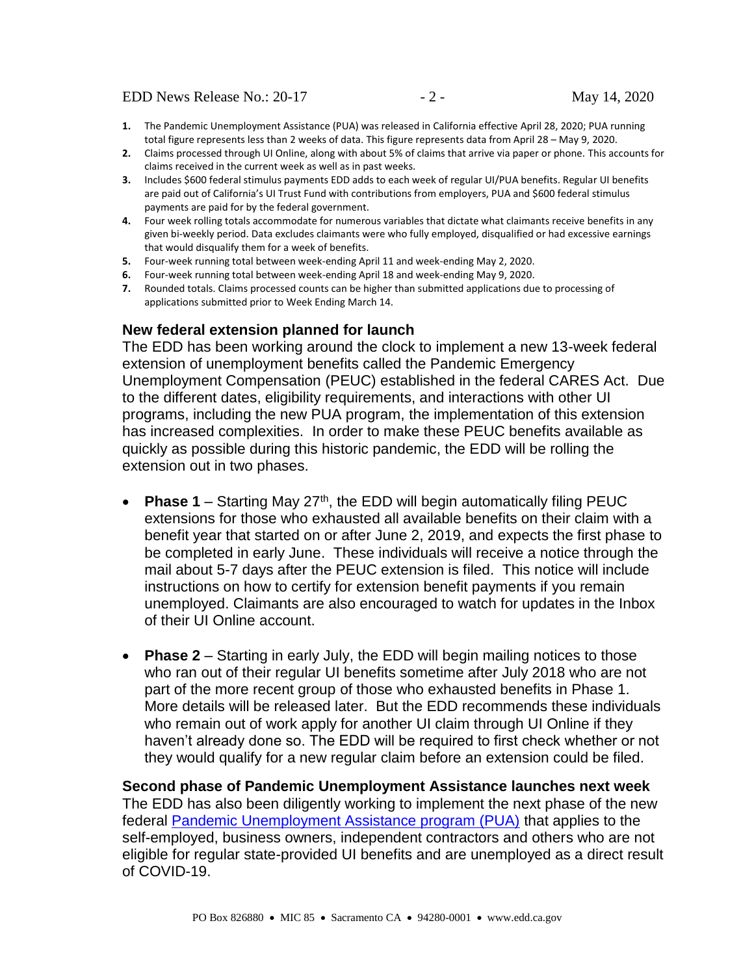- **1.** The Pandemic Unemployment Assistance (PUA) was released in California effective April 28, 2020; PUA running total figure represents less than 2 weeks of data. This figure represents data from April 28 – May 9, 2020.
- **2.** Claims processed through UI Online, along with about 5% of claims that arrive via paper or phone. This accounts for claims received in the current week as well as in past weeks.
- **3.** Includes \$600 federal stimulus payments EDD adds to each week of regular UI/PUA benefits. Regular UI benefits are paid out of California's UI Trust Fund with contributions from employers, PUA and \$600 federal stimulus payments are paid for by the federal government.
- **4.** Four week rolling totals accommodate for numerous variables that dictate what claimants receive benefits in any given bi-weekly period. Data excludes claimants were who fully employed, disqualified or had excessive earnings that would disqualify them for a week of benefits.
- **5.** Four-week running total between week-ending April 11 and week-ending May 2, 2020.
- **6.** Four-week running total between week-ending April 18 and week-ending May 9, 2020.
- **7.** Rounded totals. Claims processed counts can be higher than submitted applications due to processing of applications submitted prior to Week Ending March 14.

### **New federal extension planned for launch**

The EDD has been working around the clock to implement a new 13-week federal extension of unemployment benefits called the Pandemic Emergency Unemployment Compensation (PEUC) established in the federal CARES Act. Due to the different dates, eligibility requirements, and interactions with other UI programs, including the new PUA program, the implementation of this extension has increased complexities. In order to make these PEUC benefits available as quickly as possible during this historic pandemic, the EDD will be rolling the extension out in two phases.

- Phase 1 Starting May 27<sup>th</sup>, the EDD will begin automatically filing PEUC extensions for those who exhausted all available benefits on their claim with a benefit year that started on or after June 2, 2019, and expects the first phase to be completed in early June. These individuals will receive a notice through the mail about 5-7 days after the PEUC extension is filed. This notice will include instructions on how to certify for extension benefit payments if you remain unemployed. Claimants are also encouraged to watch for updates in the Inbox of their UI Online account.
- **Phase 2** Starting in early July, the EDD will begin mailing notices to those who ran out of their regular UI benefits sometime after July 2018 who are not part of the more recent group of those who exhausted benefits in Phase 1. More details will be released later. But the EDD recommends these individuals who remain out of work apply for another UI claim through UI Online if they haven't already done so. The EDD will be required to first check whether or not they would qualify for a new regular claim before an extension could be filed.

**Second phase of Pandemic Unemployment Assistance launches next week** The EDD has also been diligently working to implement the next phase of the new federal [Pandemic Unemployment Assistance program \(PUA\)](https://www.edd.ca.gov/about_edd/coronavirus-2019/pandemic-unemployment-assistance.htm) that applies to the self-employed, business owners, independent contractors and others who are not eligible for regular state-provided UI benefits and are unemployed as a direct result of COVID-19.